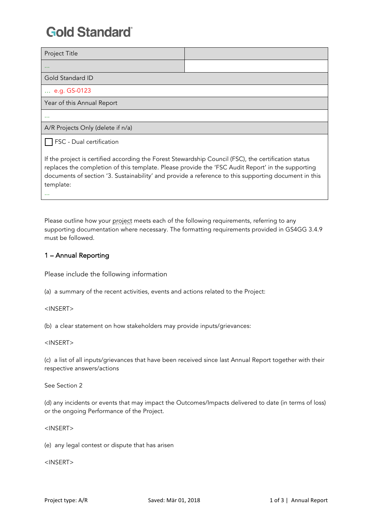## **Gold Standard**

| Project Title                                                                                                                                                                                             |  |  |  |  |
|-----------------------------------------------------------------------------------------------------------------------------------------------------------------------------------------------------------|--|--|--|--|
| $\cdots$                                                                                                                                                                                                  |  |  |  |  |
| Gold Standard ID                                                                                                                                                                                          |  |  |  |  |
| e.g. GS-0123                                                                                                                                                                                              |  |  |  |  |
| Year of this Annual Report                                                                                                                                                                                |  |  |  |  |
| $\cdots$                                                                                                                                                                                                  |  |  |  |  |
| A/R Projects Only (delete if n/a)                                                                                                                                                                         |  |  |  |  |
| <b>FSC</b> - Dual certification                                                                                                                                                                           |  |  |  |  |
| If the project is certified according the Forest Stewardship Council (FSC), the certification status<br>replaces the completion of this template. Please provide the 'ECC Audit Benert' in the supporting |  |  |  |  |

replaces the completion of this template. Please provide the 'FSC Audit Report' in the supporting documents of section '3. Sustainability' and provide a reference to this supporting document in this template:

Please outline how your project meets each of the following requirements, referring to any supporting documentation where necessary. The formatting requirements provided in GS4GG 3.4.9 must be followed.

### 1 – Annual Reporting

Please include the following information

(a) a summary of the recent activities, events and actions related to the Project:

<INSERT>

(b) a clear statement on how stakeholders may provide inputs/grievances:

#### <INSERT>

(c) a list of all inputs/grievances that have been received since last Annual Report together with their respective answers/actions

See Section 2

(d) any incidents or events that may impact the Outcomes/Impacts delivered to date (in terms of loss) or the ongoing Performance of the Project.

<INSERT>

(e) any legal contest or dispute that has arisen

<INSERT>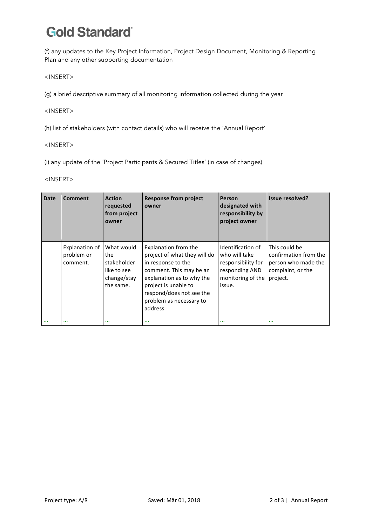# **Gold Standard**

(f) any updates to the Key Project Information, Project Design Document, Monitoring & Reporting Plan and any other supporting documentation

<INSERT>

(g) a brief descriptive summary of all monitoring information collected during the year

#### <INSERT>

(h) list of stakeholders (with contact details) who will receive the 'Annual Report'

#### <INSERT>

(i) any update of the 'Project Participants & Secured Titles' (in case of changes)

<INSERT>

| <b>Date</b> | <b>Comment</b>                           | <b>Action</b><br>requested<br>from project<br>owner                         | <b>Response from project</b><br>owner                                                                                                                                                                                         | Person<br>designated with<br>responsibility by<br>project owner                                           | <b>Issue resolved?</b>                                                                         |
|-------------|------------------------------------------|-----------------------------------------------------------------------------|-------------------------------------------------------------------------------------------------------------------------------------------------------------------------------------------------------------------------------|-----------------------------------------------------------------------------------------------------------|------------------------------------------------------------------------------------------------|
|             | Explanation of<br>problem or<br>comment. | What would<br>the<br>stakeholder<br>like to see<br>change/stay<br>the same. | Explanation from the<br>project of what they will do<br>in response to the<br>comment. This may be an<br>explanation as to why the<br>project is unable to<br>respond/does not see the<br>problem as necessary to<br>address. | Identification of<br>who will take<br>responsibility for<br>responding AND<br>monitoring of the<br>issue. | This could be<br>confirmation from the<br>person who made the<br>complaint, or the<br>project. |
| $\cdots$    | $\cdots$                                 | $\cdots$                                                                    | $\cdots$                                                                                                                                                                                                                      | $\cdots$                                                                                                  | $\cdots$                                                                                       |